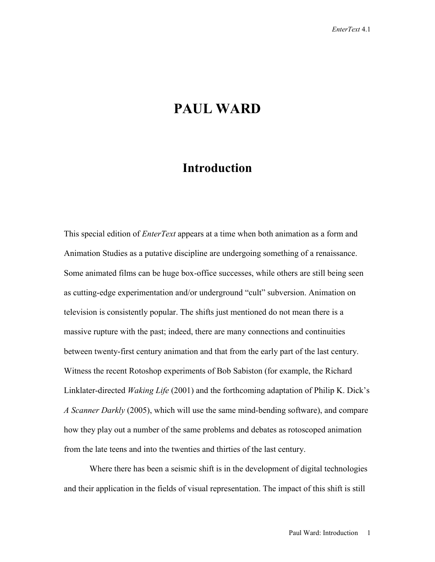## **PAUL WARD**

## **Introduction**

This special edition of *EnterText* appears at a time when both animation as a form and Animation Studies as a putative discipline are undergoing something of a renaissance. Some animated films can be huge box-office successes, while others are still being seen as cutting-edge experimentation and/or underground "cult" subversion. Animation on television is consistently popular. The shifts just mentioned do not mean there is a massive rupture with the past; indeed, there are many connections and continuities between twenty-first century animation and that from the early part of the last century. Witness the recent Rotoshop experiments of Bob Sabiston (for example, the Richard Linklater-directed *Waking Life* (2001) and the forthcoming adaptation of Philip K. Dick's *A Scanner Darkly* (2005), which will use the same mind-bending software), and compare how they play out a number of the same problems and debates as rotoscoped animation from the late teens and into the twenties and thirties of the last century.

Where there has been a seismic shift is in the development of digital technologies and their application in the fields of visual representation. The impact of this shift is still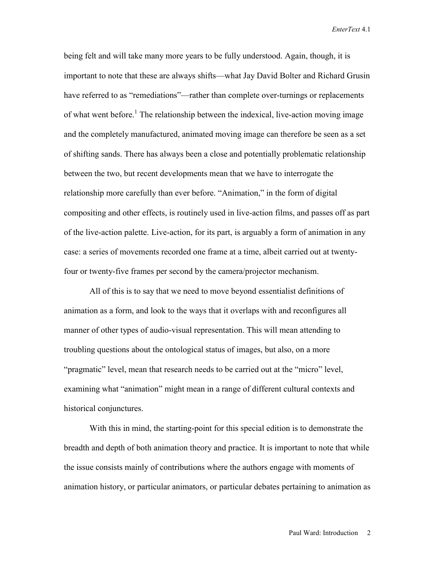being felt and will take many more years to be fully understood. Again, though, it is important to note that these are always shifts—what Jay David Bolter and Richard Grusin have referred to as "remediations"—rather than complete over-turnings or replacements of what went before.<sup>1</sup> The relationship between the indexical, live-action moving image and the completely manufactured, animated moving image can therefore be seen as a set of shifting sands. There has always been a close and potentially problematic relationship between the two, but recent developments mean that we have to interrogate the relationship more carefully than ever before. "Animation," in the form of digital compositing and other effects, is routinely used in live-action films, and passes off as part of the live-action palette. Live-action, for its part, is arguably a form of animation in any case: a series of movements recorded one frame at a time, albeit carried out at twentyfour or twenty-five frames per second by the camera/projector mechanism.

All of this is to say that we need to move beyond essentialist definitions of animation as a form, and look to the ways that it overlaps with and reconfigures all manner of other types of audio-visual representation. This will mean attending to troubling questions about the ontological status of images, but also, on a more "pragmatic" level, mean that research needs to be carried out at the "micro" level, examining what "animation" might mean in a range of different cultural contexts and historical conjunctures.

With this in mind, the starting-point for this special edition is to demonstrate the breadth and depth of both animation theory and practice. It is important to note that while the issue consists mainly of contributions where the authors engage with moments of animation history, or particular animators, or particular debates pertaining to animation as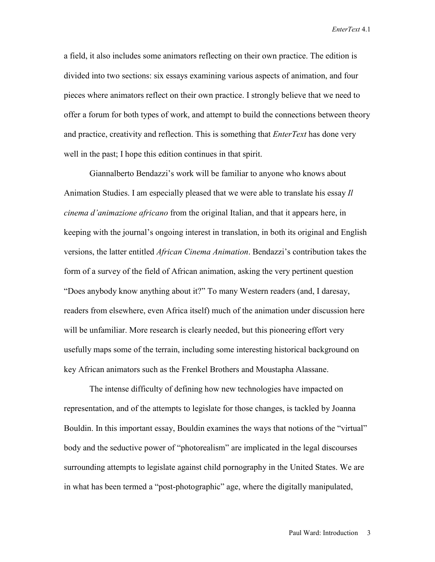a field, it also includes some animators reflecting on their own practice. The edition is divided into two sections: six essays examining various aspects of animation, and four pieces where animators reflect on their own practice. I strongly believe that we need to offer a forum for both types of work, and attempt to build the connections between theory and practice, creativity and reflection. This is something that *EnterText* has done very well in the past; I hope this edition continues in that spirit.

Giannalberto Bendazzi's work will be familiar to anyone who knows about Animation Studies. I am especially pleased that we were able to translate his essay *Il cinema d'animazione africano* from the original Italian, and that it appears here, in keeping with the journal's ongoing interest in translation, in both its original and English versions, the latter entitled *African Cinema Animation*. Bendazzi's contribution takes the form of a survey of the field of African animation, asking the very pertinent question "Does anybody know anything about it?" To many Western readers (and, I daresay, readers from elsewhere, even Africa itself) much of the animation under discussion here will be unfamiliar. More research is clearly needed, but this pioneering effort very usefully maps some of the terrain, including some interesting historical background on key African animators such as the Frenkel Brothers and Moustapha Alassane.

The intense difficulty of defining how new technologies have impacted on representation, and of the attempts to legislate for those changes, is tackled by Joanna Bouldin. In this important essay, Bouldin examines the ways that notions of the "virtual" body and the seductive power of "photorealism" are implicated in the legal discourses surrounding attempts to legislate against child pornography in the United States. We are in what has been termed a "post-photographic" age, where the digitally manipulated,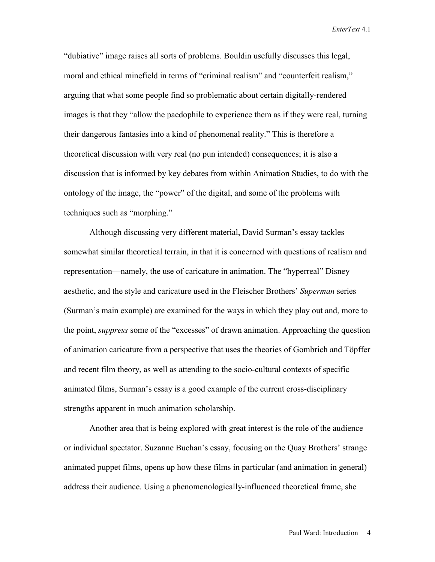"dubiative" image raises all sorts of problems. Bouldin usefully discusses this legal, moral and ethical minefield in terms of "criminal realism" and "counterfeit realism," arguing that what some people find so problematic about certain digitally-rendered images is that they "allow the paedophile to experience them as if they were real, turning their dangerous fantasies into a kind of phenomenal reality." This is therefore a theoretical discussion with very real (no pun intended) consequences; it is also a discussion that is informed by key debates from within Animation Studies, to do with the ontology of the image, the "power" of the digital, and some of the problems with techniques such as "morphing."

Although discussing very different material, David Surman's essay tackles somewhat similar theoretical terrain, in that it is concerned with questions of realism and representation—namely, the use of caricature in animation. The "hyperreal" Disney aesthetic, and the style and caricature used in the Fleischer Brothers' *Superman* series (Surman's main example) are examined for the ways in which they play out and, more to the point, *suppress* some of the "excesses" of drawn animation. Approaching the question of animation caricature from a perspective that uses the theories of Gombrich and Töpffer and recent film theory, as well as attending to the socio-cultural contexts of specific animated films, Surman's essay is a good example of the current cross-disciplinary strengths apparent in much animation scholarship.

Another area that is being explored with great interest is the role of the audience or individual spectator. Suzanne Buchan's essay, focusing on the Quay Brothers' strange animated puppet films, opens up how these films in particular (and animation in general) address their audience. Using a phenomenologically-influenced theoretical frame, she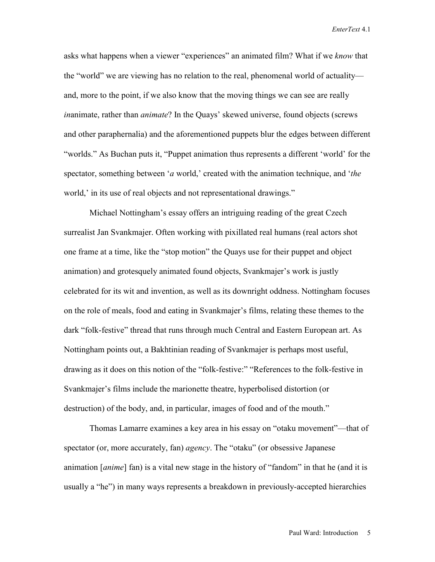asks what happens when a viewer "experiences" an animated film? What if we *know* that the "world" we are viewing has no relation to the real, phenomenal world of actuality and, more to the point, if we also know that the moving things we can see are really *in*animate, rather than *animate*? In the Quays' skewed universe, found objects (screws and other paraphernalia) and the aforementioned puppets blur the edges between different "worlds." As Buchan puts it, "Puppet animation thus represents a different 'world' for the spectator, something between '*a* world,' created with the animation technique, and '*the* world,' in its use of real objects and not representational drawings."

Michael Nottingham's essay offers an intriguing reading of the great Czech surrealist Jan Svankmajer. Often working with pixillated real humans (real actors shot one frame at a time, like the "stop motion" the Quays use for their puppet and object animation) and grotesquely animated found objects, Svankmajer's work is justly celebrated for its wit and invention, as well as its downright oddness. Nottingham focuses on the role of meals, food and eating in Svankmajer's films, relating these themes to the dark "folk-festive" thread that runs through much Central and Eastern European art. As Nottingham points out, a Bakhtinian reading of Svankmajer is perhaps most useful, drawing as it does on this notion of the "folk-festive:" "References to the folk-festive in Svankmajer's films include the marionette theatre, hyperbolised distortion (or destruction) of the body, and, in particular, images of food and of the mouth."

Thomas Lamarre examines a key area in his essay on "otaku movement"—that of spectator (or, more accurately, fan) *agency*. The "otaku" (or obsessive Japanese animation [*anime*] fan) is a vital new stage in the history of "fandom" in that he (and it is usually a "he") in many ways represents a breakdown in previously-accepted hierarchies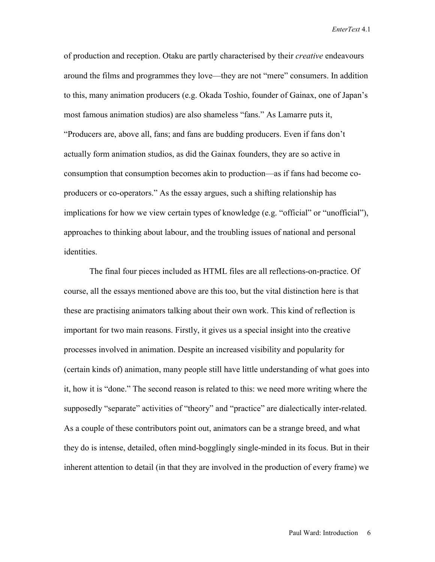of production and reception. Otaku are partly characterised by their *creative* endeavours around the films and programmes they love—they are not "mere" consumers. In addition to this, many animation producers (e.g. Okada Toshio, founder of Gainax, one of Japan's most famous animation studios) are also shameless "fans." As Lamarre puts it, "Producers are, above all, fans; and fans are budding producers. Even if fans don't actually form animation studios, as did the Gainax founders, they are so active in consumption that consumption becomes akin to production—as if fans had become coproducers or co-operators." As the essay argues, such a shifting relationship has implications for how we view certain types of knowledge (e.g. "official" or "unofficial"), approaches to thinking about labour, and the troubling issues of national and personal identities.

The final four pieces included as HTML files are all reflections-on-practice. Of course, all the essays mentioned above are this too, but the vital distinction here is that these are practising animators talking about their own work. This kind of reflection is important for two main reasons. Firstly, it gives us a special insight into the creative processes involved in animation. Despite an increased visibility and popularity for (certain kinds of) animation, many people still have little understanding of what goes into it, how it is "done." The second reason is related to this: we need more writing where the supposedly "separate" activities of "theory" and "practice" are dialectically inter-related. As a couple of these contributors point out, animators can be a strange breed, and what they do is intense, detailed, often mind-bogglingly single-minded in its focus. But in their inherent attention to detail (in that they are involved in the production of every frame) we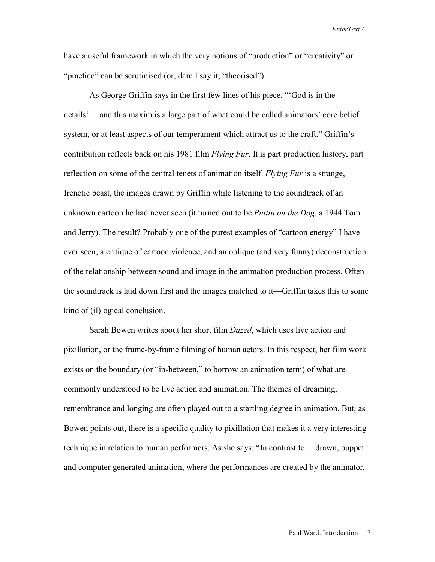have a useful framework in which the very notions of "production" or "creativity" or "practice" can be scrutinised (or, dare I say it, "theorised").

As George Griffin says in the first few lines of his piece, "'God is in the details'… and this maxim is a large part of what could be called animators' core belief system, or at least aspects of our temperament which attract us to the craft." Griffin's contribution reflects back on his 1981 film *Flying Fur*. It is part production history, part reflection on some of the central tenets of animation itself. *Flying Fur* is a strange, frenetic beast, the images drawn by Griffin while listening to the soundtrack of an unknown cartoon he had never seen (it turned out to be *Puttin on the Dog*, a 1944 Tom and Jerry). The result? Probably one of the purest examples of "cartoon energy" I have ever seen, a critique of cartoon violence, and an oblique (and very funny) deconstruction of the relationship between sound and image in the animation production process. Often the soundtrack is laid down first and the images matched to it—Griffin takes this to some kind of (il)logical conclusion.

Sarah Bowen writes about her short film *Dazed*, which uses live action and pixillation, or the frame-by-frame filming of human actors. In this respect, her film work exists on the boundary (or "in-between," to borrow an animation term) of what are commonly understood to be live action and animation. The themes of dreaming, remembrance and longing are often played out to a startling degree in animation. But, as Bowen points out, there is a specific quality to pixillation that makes it a very interesting technique in relation to human performers. As she says: "In contrast to… drawn, puppet and computer generated animation, where the performances are created by the animator,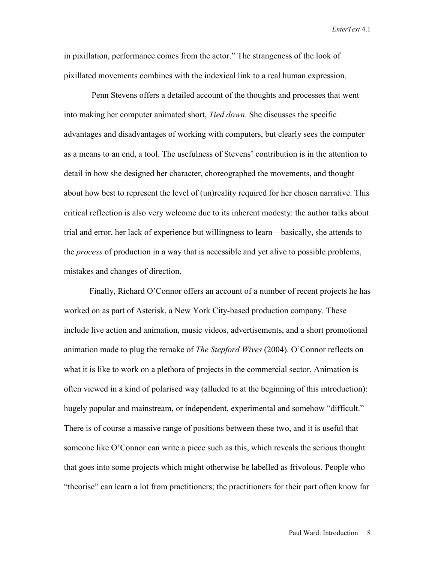in pixillation, performance comes from the actor." The strangeness of the look of pixillated movements combines with the indexical link to a real human expression.

 Penn Stevens offers a detailed account of the thoughts and processes that went into making her computer animated short, *Tied down*. She discusses the specific advantages and disadvantages of working with computers, but clearly sees the computer as a means to an end, a tool. The usefulness of Stevens' contribution is in the attention to detail in how she designed her character, choreographed the movements, and thought about how best to represent the level of (un)reality required for her chosen narrative. This critical reflection is also very welcome due to its inherent modesty: the author talks about trial and error, her lack of experience but willingness to learn—basically, she attends to the *process* of production in a way that is accessible and yet alive to possible problems, mistakes and changes of direction.

Finally, Richard O'Connor offers an account of a number of recent projects he has worked on as part of Asterisk, a New York City-based production company. These include live action and animation, music videos, advertisements, and a short promotional animation made to plug the remake of *The Stepford Wives* (2004). O'Connor reflects on what it is like to work on a plethora of projects in the commercial sector. Animation is often viewed in a kind of polarised way (alluded to at the beginning of this introduction): hugely popular and mainstream, or independent, experimental and somehow "difficult." There is of course a massive range of positions between these two, and it is useful that someone like O'Connor can write a piece such as this, which reveals the serious thought that goes into some projects which might otherwise be labelled as frivolous. People who "theorise" can learn a lot from practitioners; the practitioners for their part often know far